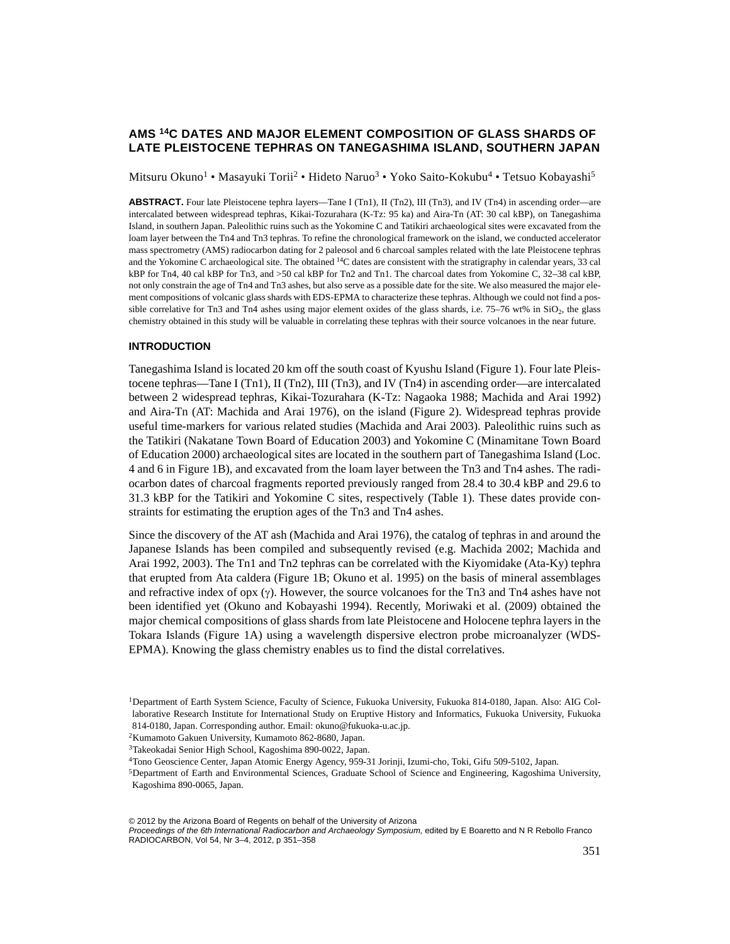# **AMS 14C DATES AND MAJOR ELEMENT COMPOSITION OF GLASS SHARDS OF LATE PLEISTOCENE TEPHRAS ON TANEGASHIMA ISLAND, SOUTHERN JAPAN**

Mitsuru Okuno<sup>1</sup> • Masayuki Torii<sup>2</sup> • Hideto Naruo<sup>3</sup> • Yoko Saito-Kokubu<sup>4</sup> • Tetsuo Kobayashi<sup>5</sup>

**ABSTRACT.** Four late Pleistocene tephra layers—Tane I (Tn1), II (Tn2), III (Tn3), and IV (Tn4) in ascending order—are intercalated between widespread tephras, Kikai-Tozurahara (K-Tz: 95 ka) and Aira-Tn (AT: 30 cal kBP), on Tanegashima Island, in southern Japan. Paleolithic ruins such as the Yokomine C and Tatikiri archaeological sites were excavated from the loam layer between the Tn4 and Tn3 tephras. To refine the chronological framework on the island, we conducted accelerator mass spectrometry (AMS) radiocarbon dating for 2 paleosol and 6 charcoal samples related with the late Pleistocene tephras and the Yokomine C archaeological site. The obtained <sup>14</sup>C dates are consistent with the stratigraphy in calendar years, 33 cal kBP for Tn4, 40 cal kBP for Tn3, and >50 cal kBP for Tn2 and Tn1. The charcoal dates from Yokomine C, 32–38 cal kBP, not only constrain the age of Tn4 and Tn3 ashes, but also serve as a possible date for the site. We also measured the major element compositions of volcanic glass shards with EDS-EPMA to characterize these tephras. Although we could not find a possible correlative for Tn3 and Tn4 ashes using major element oxides of the glass shards, i.e.  $75-76$  wt% in  $SiO_2$ , the glass chemistry obtained in this study will be valuable in correlating these tephras with their source volcanoes in the near future.

#### **INTRODUCTION**

Tanegashima Island is located 20 km off the south coast of Kyushu Island (Figure 1). Four late Pleistocene tephras—Tane I (Tn1), II (Tn2), III (Tn3), and IV (Tn4) in ascending order—are intercalated between 2 widespread tephras, Kikai-Tozurahara (K-Tz: Nagaoka 1988; Machida and Arai 1992) and Aira-Tn (AT: Machida and Arai 1976), on the island (Figure 2). Widespread tephras provide useful time-markers for various related studies (Machida and Arai 2003). Paleolithic ruins such as the Tatikiri (Nakatane Town Board of Education 2003) and Yokomine C (Minamitane Town Board of Education 2000) archaeological sites are located in the southern part of Tanegashima Island (Loc. 4 and 6 in Figure 1B), and excavated from the loam layer between the Tn3 and Tn4 ashes. The radiocarbon dates of charcoal fragments reported previously ranged from 28.4 to 30.4 kBP and 29.6 to 31.3 kBP for the Tatikiri and Yokomine C sites, respectively (Table 1). These dates provide constraints for estimating the eruption ages of the Tn3 and Tn4 ashes.

Since the discovery of the AT ash (Machida and Arai 1976), the catalog of tephras in and around the Japanese Islands has been compiled and subsequently revised (e.g. Machida 2002; Machida and Arai 1992, 2003). The Tn1 and Tn2 tephras can be correlated with the Kiyomidake (Ata-Ky) tephra that erupted from Ata caldera (Figure 1B; Okuno et al. 1995) on the basis of mineral assemblages and refractive index of opx  $(\gamma)$ . However, the source volcanoes for the Tn3 and Tn4 ashes have not been identified yet (Okuno and Kobayashi 1994). Recently, Moriwaki et al. (2009) obtained the major chemical compositions of glass shards from late Pleistocene and Holocene tephra layers in the Tokara Islands (Figure 1A) using a wavelength dispersive electron probe microanalyzer (WDS-EPMA). Knowing the glass chemistry enables us to find the distal correlatives.

2Kumamoto Gakuen University, Kumamoto 862-8680, Japan.

5Department of Earth and Environmental Sciences, Graduate School of Science and Engineering, Kagoshima University, Kagoshima 890-0065, Japan.

© 2012 by the Arizona Board of Regents on behalf of the University of Arizona

Proceedings of the 6th International Radiocarbon and Archaeology Symposium, edited by E Boaretto and N R Rebollo Franco RADIOCARBON, Vol 54, Nr 3–4, 2012, p 351–358

<sup>1</sup>Department of Earth System Science, Faculty of Science, Fukuoka University, Fukuoka 814-0180, Japan. Also: AIG Collaborative Research Institute for International Study on Eruptive History and Informatics, Fukuoka University, Fukuoka 814-0180, Japan. Corresponding author. Email: okuno@fukuoka-u.ac.jp.

<sup>3</sup>Takeokadai Senior High School, Kagoshima 890-0022, Japan.

<sup>4</sup>Tono Geoscience Center, Japan Atomic Energy Agency, 959-31 Jorinji, Izumi-cho, Toki, Gifu 509-5102, Japan.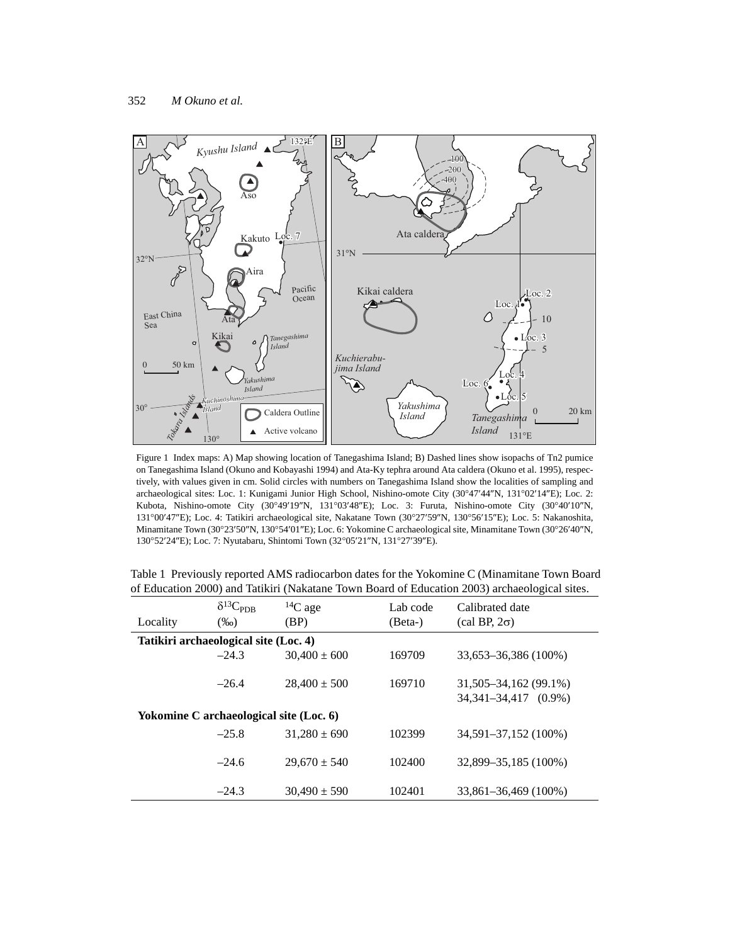

Figure 1 Index maps: A) Map showing location of Tanegashima Island; B) Dashed lines show isopachs of Tn2 pumice on Tanegashima Island (Okuno and Kobayashi 1994) and Ata-Ky tephra around Ata caldera (Okuno et al. 1995), respectively, with values given in cm. Solid circles with numbers on Tanegashima Island show the localities of sampling and archaeological sites: Loc. 1: Kunigami Junior High School, Nishino-omote City (30°47'44"N, 131°02'14"E); Loc. 2: Kubota, Nishino-omote City (30°49'19"N, 131°03'48"E); Loc. 3: Furuta, Nishino-omote City (30°40'10"N, 131°00'47"E); Loc. 4: Tatikiri archaeological site, Nakatane Town (30°27'59"N, 130°56'15"E); Loc. 5: Nakanoshita, Minamitane Town (30°23'50"N, 130°54'01"E); Loc. 6: Yokomine C archaeological site, Minamitane Town (30°26'40"N, 130°52'24"E); Loc. 7: Nyutabaru, Shintomi Town (32°05'21"N, 131°27'39"E).

| Locality                                | $\delta^{13}C_{PDB}$<br>$(\%0)$ | ${}^{14}C$ age<br>(BP) | Lab code<br>(Beta-) | Calibrated date<br>$\left(\text{cal BP}, 2\sigma\right)$ |  |  |  |  |  |  |  |  |
|-----------------------------------------|---------------------------------|------------------------|---------------------|----------------------------------------------------------|--|--|--|--|--|--|--|--|
| Tatikiri archaeological site (Loc. 4)   |                                 |                        |                     |                                                          |  |  |  |  |  |  |  |  |
|                                         | $-24.3$                         | $30,400 \pm 600$       | 169709              | 33,653-36,386 (100%)                                     |  |  |  |  |  |  |  |  |
|                                         |                                 |                        |                     |                                                          |  |  |  |  |  |  |  |  |
|                                         | $-26.4$                         | $28,400 \pm 500$       | 169710              | 31,505–34,162 (99.1%)                                    |  |  |  |  |  |  |  |  |
|                                         |                                 |                        |                     | 34,341–34,417 (0.9%)                                     |  |  |  |  |  |  |  |  |
| Yokomine C archaeological site (Loc. 6) |                                 |                        |                     |                                                          |  |  |  |  |  |  |  |  |
|                                         | $-25.8$                         | $31.280 \pm 690$       | 102399              | 34,591-37,152 (100%)                                     |  |  |  |  |  |  |  |  |
|                                         |                                 |                        |                     |                                                          |  |  |  |  |  |  |  |  |
|                                         | $-24.6$                         | $29.670 \pm 540$       | 102400              | 32,899–35,185 (100%)                                     |  |  |  |  |  |  |  |  |
|                                         |                                 |                        |                     |                                                          |  |  |  |  |  |  |  |  |
|                                         | $-24.3$                         | $30,490 \pm 590$       | 102401              | 33,861-36,469 (100%)                                     |  |  |  |  |  |  |  |  |

Table 1 Previously reported AMS radiocarbon dates for the Yokomine C (Minamitane Town Board of Education 2000) and Tatikiri (Nakatane Town Board of Education 2003) archaeological sites.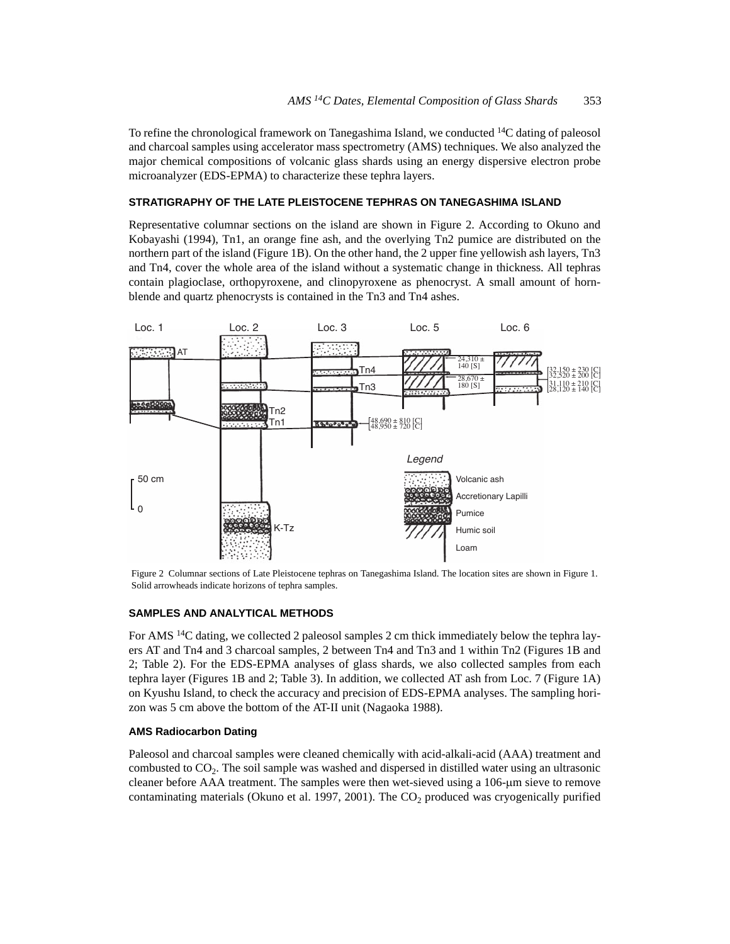To refine the chronological framework on Tanegashima Island, we conducted <sup>14</sup>C dating of paleosol and charcoal samples using accelerator mass spectrometry (AMS) techniques. We also analyzed the major chemical compositions of volcanic glass shards using an energy dispersive electron probe microanalyzer (EDS-EPMA) to characterize these tephra layers.

## **STRATIGRAPHY OF THE LATE PLEISTOCENE TEPHRAS ON TANEGASHIMA ISLAND**

Representative columnar sections on the island are shown in Figure 2. According to Okuno and Kobayashi (1994), Tn1, an orange fine ash, and the overlying Tn2 pumice are distributed on the northern part of the island (Figure 1B). On the other hand, the 2 upper fine yellowish ash layers, Tn3 and Tn4, cover the whole area of the island without a systematic change in thickness. All tephras contain plagioclase, orthopyroxene, and clinopyroxene as phenocryst. A small amount of hornblende and quartz phenocrysts is contained in the Tn3 and Tn4 ashes.



Figure 2 Columnar sections of Late Pleistocene tephras on Tanegashima Island. The location sites are shown in Figure 1. Solid arrowheads indicate horizons of tephra samples.

## **SAMPLES AND ANALYTICAL METHODS**

For AMS 14C dating, we collected 2 paleosol samples 2 cm thick immediately below the tephra layers AT and Tn4 and 3 charcoal samples, 2 between Tn4 and Tn3 and 1 within Tn2 (Figures 1B and 2; Table 2). For the EDS-EPMA analyses of glass shards, we also collected samples from each tephra layer (Figures 1B and 2; Table 3). In addition, we collected AT ash from Loc. 7 (Figure 1A) on Kyushu Island, to check the accuracy and precision of EDS-EPMA analyses. The sampling horizon was 5 cm above the bottom of the AT-II unit (Nagaoka 1988).

#### **AMS Radiocarbon Dating**

Paleosol and charcoal samples were cleaned chemically with acid-alkali-acid (AAA) treatment and combusted to CO2. The soil sample was washed and dispersed in distilled water using an ultrasonic cleaner before AAA treatment. The samples were then wet-sieved using a 106-µm sieve to remove contaminating materials (Okuno et al. 1997, 2001). The  $CO<sub>2</sub>$  produced was cryogenically purified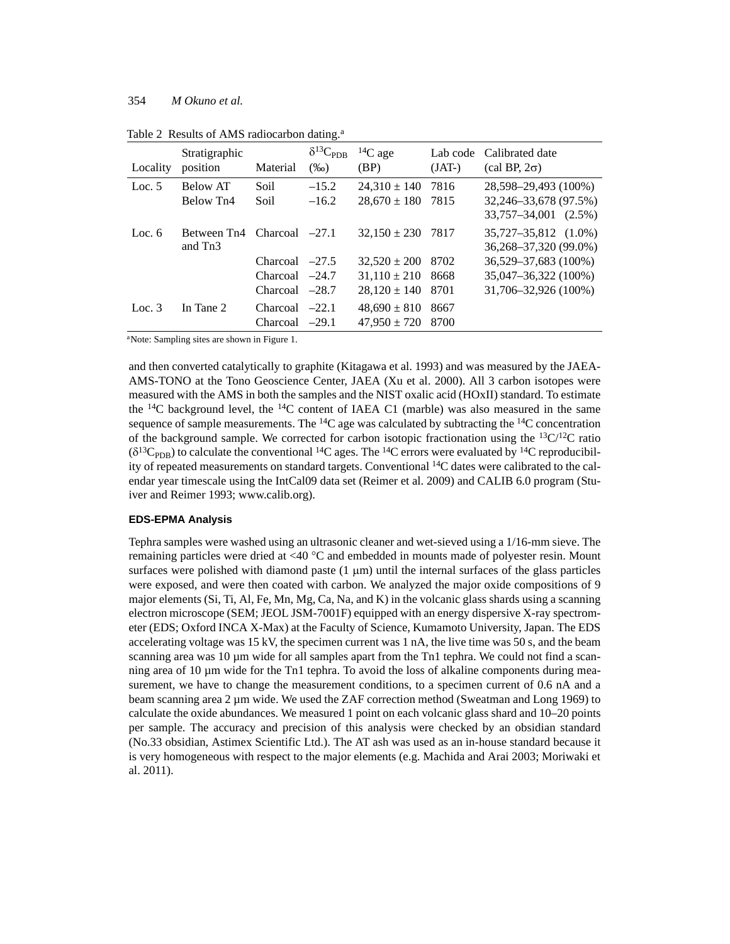| Locality | Stratigraphic<br>position         | Material                                                               | $\delta^{13}C_{\rm PDB}$<br>$(\%0)$ | ${}^{14}C$ age<br>(BP)                                                       | Lab code<br>$(JAT-)$         | Calibrated date<br>$\text{(cal BP, 2} \sigma)$                                                                        |
|----------|-----------------------------------|------------------------------------------------------------------------|-------------------------------------|------------------------------------------------------------------------------|------------------------------|-----------------------------------------------------------------------------------------------------------------------|
| Loc. $5$ | Below AT<br>Below Tn <sub>4</sub> | Soil<br>Soil                                                           | $-15.2$<br>$-16.2$                  | $24.310 \pm 140$<br>$28,670 \pm 180$                                         | 7816<br>7815                 | 28,598–29,493 (100%)<br>32,246–33,678 (97.5%)<br>33,757-34,001 (2.5%)                                                 |
| Loc. $6$ | Between Tn4<br>and Tn3            | $Charcoal$ $-27.1$<br>Charcoal<br>Charcoal $-24.7$<br>Charcoal $-28.7$ | $-27.5$                             | $32,150 \pm 230$<br>$32,520 \pm 200$<br>$31,110 \pm 210$<br>$28,120 \pm 140$ | 7817<br>8702<br>8668<br>8701 | 35,727-35,812 (1.0%)<br>36,268-37,320 (99.0%)<br>36,529–37,683 (100%)<br>35,047-36,322 (100%)<br>31,706-32,926 (100%) |
| Loc. $3$ | In Tane 2                         | Charcoal<br>Charcoal                                                   | $-22.1$<br>$-29.1$                  | $48.690 \pm 810$<br>$47,950 \pm 720$                                         | 8667<br>8700                 |                                                                                                                       |

Table 2 Results of AMS radiocarbon dating.<sup>a</sup>

aNote: Sampling sites are shown in Figure 1.

and then converted catalytically to graphite (Kitagawa et al. 1993) and was measured by the JAEA-AMS-TONO at the Tono Geoscience Center, JAEA (Xu et al. 2000). All 3 carbon isotopes were measured with the AMS in both the samples and the NIST oxalic acid (HOxII) standard. To estimate the  $^{14}$ C background level, the  $^{14}$ C content of IAEA C1 (marble) was also measured in the same sequence of sample measurements. The  ${}^{14}C$  age was calculated by subtracting the  ${}^{14}C$  concentration of the background sample. We corrected for carbon isotopic fractionation using the  ${}^{13}C/{}^{12}C$  ratio  $(\delta^{13}C_{PDB})$  to calculate the conventional <sup>14</sup>C ages. The <sup>14</sup>C errors were evaluated by <sup>14</sup>C reproducibility of repeated measurements on standard targets. Conventional 14C dates were calibrated to the calendar year timescale using the IntCal09 data set (Reimer et al. 2009) and CALIB 6.0 program (Stuiver and Reimer 1993; www.calib.org).

## **EDS-EPMA Analysis**

Tephra samples were washed using an ultrasonic cleaner and wet-sieved using a 1/16-mm sieve. The remaining particles were dried at <40  $^{\circ}$ C and embedded in mounts made of polyester resin. Mount surfaces were polished with diamond paste  $(1 \mu m)$  until the internal surfaces of the glass particles were exposed, and were then coated with carbon. We analyzed the major oxide compositions of 9 major elements (Si, Ti, Al, Fe, Mn, Mg, Ca, Na, and K) in the volcanic glass shards using a scanning electron microscope (SEM; JEOL JSM-7001F) equipped with an energy dispersive X-ray spectrometer (EDS; Oxford INCA X-Max) at the Faculty of Science, Kumamoto University, Japan. The EDS accelerating voltage was 15 kV, the specimen current was 1 nA, the live time was 50 s, and the beam scanning area was  $10 \mu m$  wide for all samples apart from the Tn1 tephra. We could not find a scanning area of 10 µm wide for the Tn1 tephra. To avoid the loss of alkaline components during measurement, we have to change the measurement conditions, to a specimen current of 0.6 nA and a beam scanning area 2 µm wide. We used the ZAF correction method (Sweatman and Long 1969) to calculate the oxide abundances. We measured 1 point on each volcanic glass shard and 10–20 points per sample. The accuracy and precision of this analysis were checked by an obsidian standard (No.33 obsidian, Astimex Scientific Ltd.). The AT ash was used as an in-house standard because it is very homogeneous with respect to the major elements (e.g. Machida and Arai 2003; Moriwaki et al. 2011).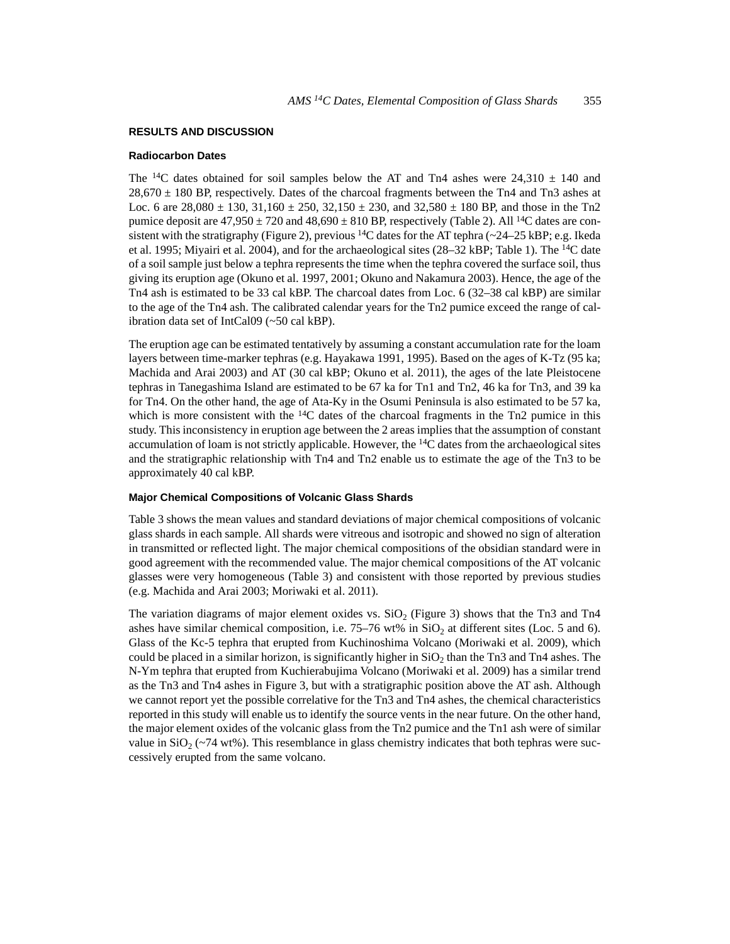#### **RESULTS AND DISCUSSION**

#### **Radiocarbon Dates**

The <sup>14</sup>C dates obtained for soil samples below the AT and Tn4 ashes were 24,310  $\pm$  140 and  $28,670 \pm 180$  BP, respectively. Dates of the charcoal fragments between the Tn4 and Tn3 ashes at Loc. 6 are  $28,080 \pm 130, 31,160 \pm 250, 32,150 \pm 230$ , and  $32,580 \pm 180$  BP, and those in the Tn2 pumice deposit are  $47,950 \pm 720$  and  $48,690 \pm 810$  BP, respectively (Table 2). All <sup>14</sup>C dates are consistent with the stratigraphy (Figure 2), previous <sup>14</sup>C dates for the AT tephra ( $\sim$ 24–25 kBP; e.g. Ikeda et al. 1995; Miyairi et al. 2004), and for the archaeological sites (28–32 kBP; Table 1). The 14C date of a soil sample just below a tephra represents the time when the tephra covered the surface soil, thus giving its eruption age (Okuno et al. 1997, 2001; Okuno and Nakamura 2003). Hence, the age of the Tn4 ash is estimated to be 33 cal kBP. The charcoal dates from Loc. 6 (32–38 cal kBP) are similar to the age of the Tn4 ash. The calibrated calendar years for the Tn2 pumice exceed the range of calibration data set of IntCal09 (~50 cal kBP).

The eruption age can be estimated tentatively by assuming a constant accumulation rate for the loam layers between time-marker tephras (e.g. Hayakawa 1991, 1995). Based on the ages of K-Tz (95 ka; Machida and Arai 2003) and AT (30 cal kBP; Okuno et al. 2011), the ages of the late Pleistocene tephras in Tanegashima Island are estimated to be 67 ka for Tn1 and Tn2, 46 ka for Tn3, and 39 ka for Tn4. On the other hand, the age of Ata-Ky in the Osumi Peninsula is also estimated to be 57 ka, which is more consistent with the  $^{14}C$  dates of the charcoal fragments in the Tn2 pumice in this study. This inconsistency in eruption age between the 2 areas implies that the assumption of constant accumulation of loam is not strictly applicable. However, the  $^{14}$ C dates from the archaeological sites and the stratigraphic relationship with Tn4 and Tn2 enable us to estimate the age of the Tn3 to be approximately 40 cal kBP.

## **Major Chemical Compositions of Volcanic Glass Shards**

Table 3 shows the mean values and standard deviations of major chemical compositions of volcanic glass shards in each sample. All shards were vitreous and isotropic and showed no sign of alteration in transmitted or reflected light. The major chemical compositions of the obsidian standard were in good agreement with the recommended value. The major chemical compositions of the AT volcanic glasses were very homogeneous (Table 3) and consistent with those reported by previous studies (e.g. Machida and Arai 2003; Moriwaki et al. 2011).

The variation diagrams of major element oxides vs.  $SiO<sub>2</sub>$  (Figure 3) shows that the Tn3 and Tn4 ashes have similar chemical composition, i.e.  $75-76$  wt% in SiO<sub>2</sub> at different sites (Loc. 5 and 6). Glass of the Kc-5 tephra that erupted from Kuchinoshima Volcano (Moriwaki et al. 2009), which could be placed in a similar horizon, is significantly higher in  $SiO<sub>2</sub>$  than the Tn3 and Tn4 ashes. The N-Ym tephra that erupted from Kuchierabujima Volcano (Moriwaki et al. 2009) has a similar trend as the Tn3 and Tn4 ashes in Figure 3, but with a stratigraphic position above the AT ash. Although we cannot report yet the possible correlative for the Tn3 and Tn4 ashes, the chemical characteristics reported in this study will enable us to identify the source vents in the near future. On the other hand, the major element oxides of the volcanic glass from the Tn2 pumice and the Tn1 ash were of similar value in  $SiO<sub>2</sub>$  (~74 wt%). This resemblance in glass chemistry indicates that both tephras were successively erupted from the same volcano.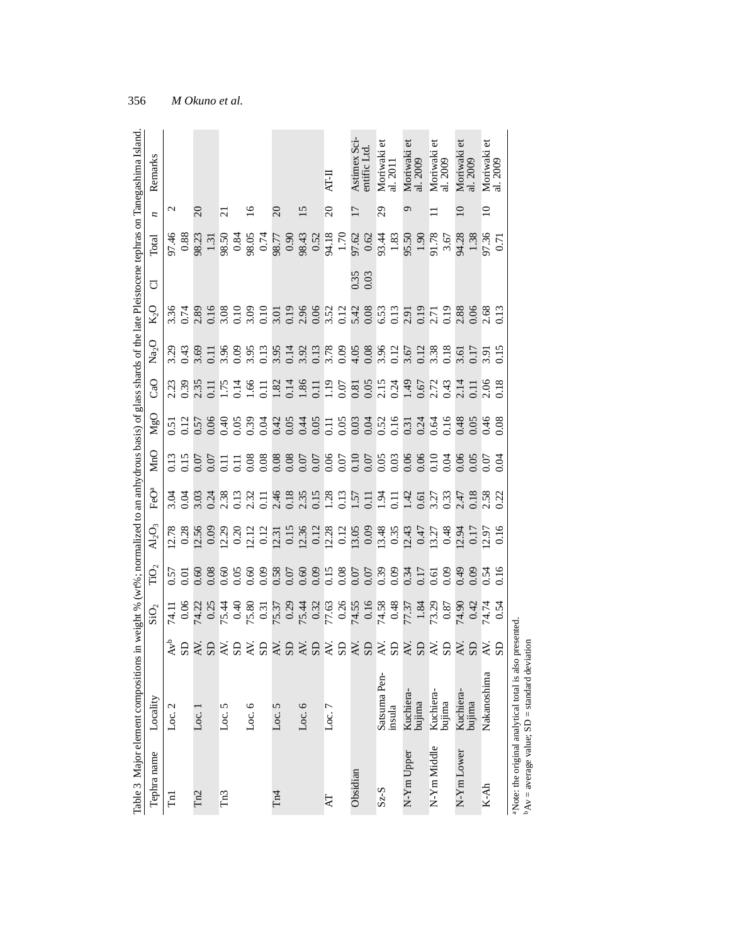| Remarks<br>z<br>Total<br>đ<br>$K_2$ O<br>$\rm _{Na_{2}O}$<br>CaO<br>$M_{gO}$ |                  |                 | $\Omega$ |        | $\overline{\mathsf{c}}$ |          | $\overline{16}$ | $\Omega$        | $\overline{15}$ | П-IN<br>$\Omega$ | 17       | Astimex Sci<br>entific Ltd<br>0.35 | 29           | Moriwaki et<br>al. 2011 | ᡋ          | Moriwaki et<br>al. 2009 |             | Moriwaki et<br>al. 2009 |            | Moriwaki<br>al. 2009<br>$\frac{5}{2}$ $\frac{8}{8}$ $\frac{8}{3}$ $\frac{1}{2}$ $\frac{8}{8}$ $\frac{2}{3}$ $\frac{2}{3}$ $\frac{2}{3}$ $\frac{2}{3}$ $\frac{2}{3}$ $\frac{2}{3}$ $\frac{2}{3}$ $\frac{2}{3}$ $\frac{2}{3}$ $\frac{2}{3}$ $\frac{2}{3}$ $\frac{2}{3}$ $\frac{2}{3}$ $\frac{2}{3}$ $\frac{2}{3}$ $\frac{2}{3}$ $\frac{2}{3}$ | õ<br>Moriwaki e<br>al. 2009<br>$\supseteq$<br>17.36<br>0.71                                          |
|------------------------------------------------------------------------------|------------------|-----------------|----------|--------|-------------------------|----------|-----------------|-----------------|-----------------|------------------|----------|------------------------------------|--------------|-------------------------|------------|-------------------------|-------------|-------------------------|------------|---------------------------------------------------------------------------------------------------------------------------------------------------------------------------------------------------------------------------------------------------------------------------------------------------------------------------------------------|------------------------------------------------------------------------------------------------------|
|                                                                              | $\mathrel{\sim}$ |                 |          |        |                         |          |                 |                 |                 |                  |          |                                    |              |                         |            |                         |             |                         |            |                                                                                                                                                                                                                                                                                                                                             |                                                                                                      |
|                                                                              |                  |                 |          |        |                         |          |                 |                 |                 |                  |          |                                    |              |                         |            |                         |             |                         |            |                                                                                                                                                                                                                                                                                                                                             |                                                                                                      |
|                                                                              |                  |                 |          |        |                         |          |                 |                 |                 |                  |          |                                    |              |                         |            |                         |             |                         |            |                                                                                                                                                                                                                                                                                                                                             |                                                                                                      |
|                                                                              |                  |                 |          |        |                         |          |                 |                 |                 |                  |          |                                    |              |                         |            |                         |             |                         |            |                                                                                                                                                                                                                                                                                                                                             |                                                                                                      |
|                                                                              |                  |                 |          |        |                         |          |                 |                 |                 |                  |          |                                    |              |                         |            |                         |             |                         |            |                                                                                                                                                                                                                                                                                                                                             |                                                                                                      |
|                                                                              |                  |                 |          |        |                         |          |                 |                 |                 |                  |          |                                    |              |                         |            |                         |             |                         |            |                                                                                                                                                                                                                                                                                                                                             |                                                                                                      |
|                                                                              |                  |                 |          |        |                         |          |                 |                 |                 |                  |          |                                    |              |                         |            |                         |             |                         |            |                                                                                                                                                                                                                                                                                                                                             |                                                                                                      |
|                                                                              |                  |                 |          |        |                         |          |                 |                 |                 |                  |          |                                    |              |                         |            |                         |             |                         |            |                                                                                                                                                                                                                                                                                                                                             |                                                                                                      |
|                                                                              |                  |                 |          |        |                         |          |                 |                 |                 |                  |          |                                    |              |                         |            |                         |             |                         |            |                                                                                                                                                                                                                                                                                                                                             |                                                                                                      |
|                                                                              |                  |                 |          |        |                         |          |                 |                 |                 |                  |          |                                    |              |                         |            |                         |             |                         |            |                                                                                                                                                                                                                                                                                                                                             | 11 のはないですが、これには、これは、これは、11 のは、11 のは、11 のは、11 のは、11 のは、11 のは、11 のは、11 のは、11 のは、11 のは、11 のは、11 のは、11 の |
|                                                                              |                  |                 |          |        |                         |          |                 |                 |                 |                  |          |                                    |              |                         |            |                         |             |                         |            |                                                                                                                                                                                                                                                                                                                                             | 초읍숙림숙음숙음숙음숙음숙음숙음숙음숙음숙음숙음                                                                             |
| Loc. 2                                                                       |                  | Loc.            |          | Loc. 5 |                         | Loc. $6$ |                 | Loc. 5          | Loc. $6$        | Loc. 7           |          |                                    | Satsuma Pen- | insula                  |            | Kuchiera-<br>bujima     | Kuchiera-   | bujima                  |            | Kuchiera-<br>bujima                                                                                                                                                                                                                                                                                                                         | Nakanoshima                                                                                          |
| Tephra name                                                                  | $\Xi$            | Tn <sub>2</sub> |          | Tn3    |                         |          |                 | Tn <sub>4</sub> |                 | ZД               | Obsidian |                                    | $S_z-S$      |                         | N-Ym Upper |                         | N-Ym Middle |                         | N-Ym Lower |                                                                                                                                                                                                                                                                                                                                             | $K-Ah$                                                                                               |

<sup>a</sup>Note: the original analytical total is also presented.<br> $b_{AV} =$  average value; SD = standard deviation aNote: the original analytical total is also presented.  $\Delta v =$  average value; SD = standard deviation

356 *M Okuno et al.*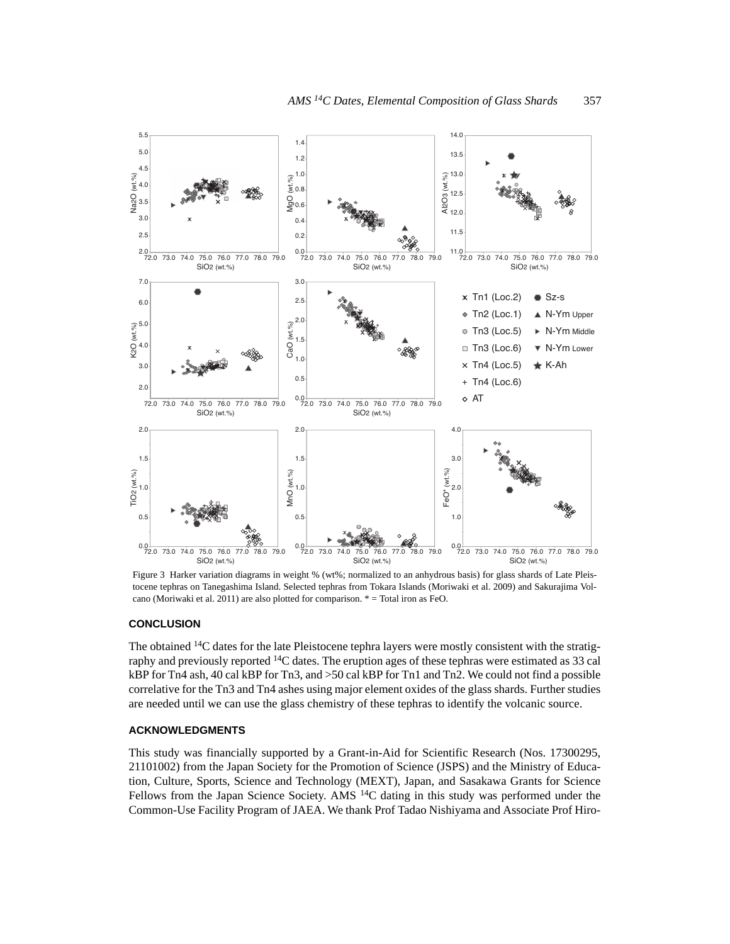

Figure 3 Harker variation diagrams in weight % (wt%; normalized to an anhydrous basis) for glass shards of Late Pleistocene tephras on Tanegashima Island. Selected tephras from Tokara Islands (Moriwaki et al. 2009) and Sakurajima Volcano (Moriwaki et al. 2011) are also plotted for comparison. \* = Total iron as FeO.

#### **CONCLUSION**

The obtained  $14C$  dates for the late Pleistocene tephra layers were mostly consistent with the stratigraphy and previously reported  ${}^{14}C$  dates. The eruption ages of these tephras were estimated as 33 cal kBP for Tn4 ash, 40 cal kBP for Tn3, and >50 cal kBP for Tn1 and Tn2. We could not find a possible correlative for the Tn3 and Tn4 ashes using major element oxides of the glass shards. Further studies are needed until we can use the glass chemistry of these tephras to identify the volcanic source.

### **ACKNOWLEDGMENTS**

This study was financially supported by a Grant-in-Aid for Scientific Research (Nos. 17300295, 21101002) from the Japan Society for the Promotion of Science (JSPS) and the Ministry of Education, Culture, Sports, Science and Technology (MEXT), Japan, and Sasakawa Grants for Science Fellows from the Japan Science Society. AMS  $14C$  dating in this study was performed under the Common-Use Facility Program of JAEA. We thank Prof Tadao Nishiyama and Associate Prof Hiro